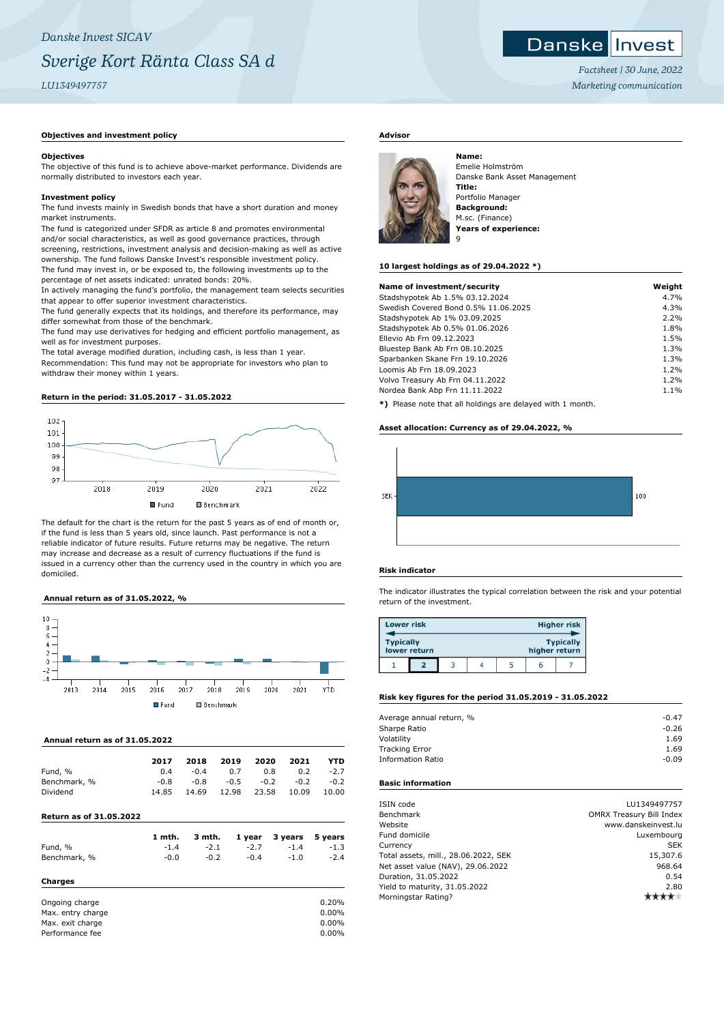## **Danske Invest**

*Factsheet | 30 June, 2022 Marketing communication*

## **Objectives and investment policy**

## **Objectives**

The objective of this fund is to achieve above-market performance. Dividends are normally distributed to investors each year.

## **Investment policy**

The fund invests mainly in Swedish bonds that have a short duration and money market instruments.

The fund is categorized under SFDR as article 8 and promotes environmental and/or social characteristics, as well as good governance practices, through screening, restrictions, investment analysis and decision-making as well as active ownership. The fund follows Danske Invest's responsible investment policy. The fund may invest in, or be exposed to, the following investments up to the percentage of net assets indicated: unrated bonds: 20%.

In actively managing the fund's portfolio, the management team selects securities that appear to offer superior investment characteristics.

The fund generally expects that its holdings, and therefore its performance, may differ somewhat from those of the benchmark.

The fund may use derivatives for hedging and efficient portfolio management, as well as for investment purposes.

The total average modified duration, including cash, is less than 1 year. Recommendation: This fund may not be appropriate for investors who plan to withdraw their money within 1 years.

## **Return in the period: 31.05.2017 - 31.05.2022**



The default for the chart is the return for the past 5 years as of end of month or, if the fund is less than 5 years old, since launch. Past performance is not a reliable indicator of future results. Future returns may be negative. The return may increase and decrease as a result of currency fluctuations if the fund is issued in a currency other than the currency used in the country in which you are domiciled.

#### **Annual return as of 31.05.2022, %**



#### **Annual return as of 31.05.2022**

| 2017  | 2018   | 2019   | 2020   | 2021   | <b>YTD</b> |
|-------|--------|--------|--------|--------|------------|
| 0.4   | $-0.4$ | 0.7    | 0.8    | 0.2    | $-2.7$     |
| -0.8  | $-0.8$ | $-0.5$ | $-0.2$ | $-0.2$ | $-0.2$     |
| 14.85 | 14.69  | 12.98  | 23.58  | 10.09  | 10.00      |
|       |        |        |        |        |            |

## **Return as of 31.05.2022**

|                   | 1 mth. | 3 mth. | 1 year | 3 years | 5 years  |
|-------------------|--------|--------|--------|---------|----------|
| Fund, %           | $-1.4$ | $-2.1$ | $-2.7$ | $-1.4$  | $-1.3$   |
| Benchmark, %      | $-0.0$ | $-0.2$ | $-0.4$ | $-1.0$  | $-2.4$   |
| Charges           |        |        |        |         |          |
| Ongoing charge    |        |        |        |         | 0.20%    |
| Max. entry charge |        |        |        |         | 0.00%    |
| Max. exit charge  |        |        |        |         | $0.00\%$ |
| Performance fee   |        |        |        |         | 0.00%    |

## **Advisor**



Emelie Holmström Danske Bank Asset Management **Title:** Portfolio Manager **Background:** M.sc. (Finance) **Years of experience:** 9

#### **10 largest holdings as of 29.04.2022 \*)**

| Name of investment/security                                | Weight |
|------------------------------------------------------------|--------|
| Stadshypotek Ab 1.5% 03.12.2024                            | 4.7%   |
| Swedish Covered Bond 0.5% 11.06.2025                       | 4.3%   |
| Stadshypotek Ab 1% 03.09.2025                              | 2.2%   |
| Stadshypotek Ab 0.5% 01.06.2026                            | 1.8%   |
| Ellevio Ab Frn 09.12.2023                                  | 1.5%   |
| Bluestep Bank Ab Frn 08.10.2025                            | 1.3%   |
| Sparbanken Skane Frn 19.10.2026                            | 1.3%   |
| Loomis Ab Frn 18.09.2023                                   | 1.2%   |
| Volvo Treasury Ab Frn 04.11.2022                           | 1.2%   |
| Nordea Bank Abp Frn 11.11.2022                             | 1.1%   |
| *) Please note that all holdings are delayed with 1 month. |        |

## **Asset allocation: Currency as of 29.04.2022, %**



## **Risk indicator**

The indicator illustrates the typical correlation between the risk and your potential return of the investment.

| <b>Lower risk</b>                                                     |  |  |  |  |   | <b>Higher risk</b> |
|-----------------------------------------------------------------------|--|--|--|--|---|--------------------|
| <b>Typically</b><br><b>Typically</b><br>lower return<br>higher return |  |  |  |  |   |                    |
|                                                                       |  |  |  |  | h |                    |

## **Risk key figures for the period 31.05.2019 - 31.05.2022**

| Average annual return, % | $-0.47$ |
|--------------------------|---------|
| Sharpe Ratio             | $-0.26$ |
| Volatility               | 1.69    |
| <b>Tracking Error</b>    | 1.69    |
| <b>Information Ratio</b> | $-0.09$ |
|                          |         |

## **Basic information**

| ISIN code                            | LU1349497757                    |
|--------------------------------------|---------------------------------|
| Benchmark                            | <b>OMRX Treasury Bill Index</b> |
| Website                              | www.danskeinvest.lu             |
| Fund domicile                        | Luxembourg                      |
| Currency                             | <b>SEK</b>                      |
| Total assets, mill., 28.06.2022, SEK | 15,307.6                        |
| Net asset value (NAV), 29.06.2022    | 968.64                          |
| Duration, 31.05.2022                 | 0.54                            |
| Yield to maturity, 31.05.2022        | 2.80                            |
| Morningstar Rating?                  |                                 |